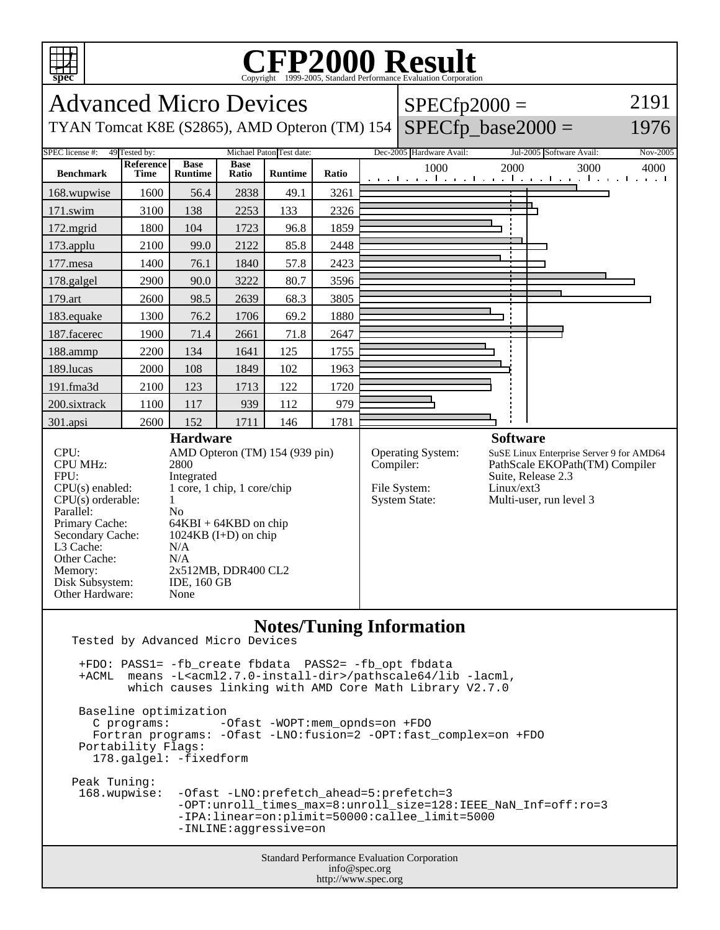

## C<sub>opyright</sub> ©1999-2005, Standard Performance Evaluation Corporation

| spec                                                                                                                                                                                                                                                                                                                                                                                                                                                                |                                                                                      |                               |                      |                                  |           |                                                           | Copyright ©1999-2005, Standard Performance Evaluation Corporation                                                                                                                                                                                                                                                 |                                                                                                                             |                                                           |          |
|---------------------------------------------------------------------------------------------------------------------------------------------------------------------------------------------------------------------------------------------------------------------------------------------------------------------------------------------------------------------------------------------------------------------------------------------------------------------|--------------------------------------------------------------------------------------|-------------------------------|----------------------|----------------------------------|-----------|-----------------------------------------------------------|-------------------------------------------------------------------------------------------------------------------------------------------------------------------------------------------------------------------------------------------------------------------------------------------------------------------|-----------------------------------------------------------------------------------------------------------------------------|-----------------------------------------------------------|----------|
| 2191<br><b>Advanced Micro Devices</b><br>$SPECfp2000 =$                                                                                                                                                                                                                                                                                                                                                                                                             |                                                                                      |                               |                      |                                  |           |                                                           |                                                                                                                                                                                                                                                                                                                   |                                                                                                                             |                                                           |          |
| $SPECfp\_base2000 =$<br>1976<br>TYAN Tomcat K8E (S2865), AMD Opteron (TM) 154                                                                                                                                                                                                                                                                                                                                                                                       |                                                                                      |                               |                      |                                  |           |                                                           |                                                                                                                                                                                                                                                                                                                   |                                                                                                                             |                                                           |          |
| SPEC license #:                                                                                                                                                                                                                                                                                                                                                                                                                                                     | 49 Tested by:                                                                        |                               |                      | Michael Paton Test date:         |           |                                                           | Dec-2005 Hardware Avail:                                                                                                                                                                                                                                                                                          |                                                                                                                             | Jul-2005 Software Avail:                                  | Nov-2005 |
| <b>Benchmark</b>                                                                                                                                                                                                                                                                                                                                                                                                                                                    | Reference<br><b>Time</b>                                                             | <b>Base</b><br><b>Runtime</b> | <b>Base</b><br>Ratio | <b>Runtime</b>                   | Ratio     |                                                           | 1000                                                                                                                                                                                                                                                                                                              | 2000                                                                                                                        | 3000<br>المتوجبا وتوجا وتوجا وتوجا وتوجا وتوجا وتوجا وتوج | 4000     |
| 168.wupwise                                                                                                                                                                                                                                                                                                                                                                                                                                                         | 1600                                                                                 | 56.4                          | 2838                 | 49.1                             | 3261      |                                                           |                                                                                                                                                                                                                                                                                                                   |                                                                                                                             |                                                           |          |
| $171$ .swim                                                                                                                                                                                                                                                                                                                                                                                                                                                         | 3100                                                                                 | 138                           | 2253                 | 133                              | 2326      |                                                           |                                                                                                                                                                                                                                                                                                                   |                                                                                                                             |                                                           |          |
| 172.mgrid                                                                                                                                                                                                                                                                                                                                                                                                                                                           | 1800                                                                                 | 104                           | 1723                 | 96.8                             | 1859      |                                                           |                                                                                                                                                                                                                                                                                                                   |                                                                                                                             |                                                           |          |
| 173.applu                                                                                                                                                                                                                                                                                                                                                                                                                                                           | 2100                                                                                 | 99.0                          | 2122                 | 85.8                             | 2448      |                                                           |                                                                                                                                                                                                                                                                                                                   |                                                                                                                             |                                                           |          |
| 177.mesa                                                                                                                                                                                                                                                                                                                                                                                                                                                            | 1400                                                                                 | 76.1                          | 1840                 | 57.8                             | 2423      |                                                           |                                                                                                                                                                                                                                                                                                                   |                                                                                                                             |                                                           |          |
| 178.galgel                                                                                                                                                                                                                                                                                                                                                                                                                                                          | 2900                                                                                 | 90.0                          | 3222                 | 80.7                             | 3596      |                                                           |                                                                                                                                                                                                                                                                                                                   |                                                                                                                             |                                                           |          |
| 179.art                                                                                                                                                                                                                                                                                                                                                                                                                                                             | 2600                                                                                 | 98.5                          | 2639                 | 68.3                             | 3805      |                                                           |                                                                                                                                                                                                                                                                                                                   |                                                                                                                             |                                                           |          |
| 183.equake                                                                                                                                                                                                                                                                                                                                                                                                                                                          | 1300                                                                                 | 76.2                          | 1706                 | 69.2                             | 1880      |                                                           |                                                                                                                                                                                                                                                                                                                   |                                                                                                                             |                                                           |          |
| 187.facerec                                                                                                                                                                                                                                                                                                                                                                                                                                                         | 1900                                                                                 | 71.4                          | 2661                 | 71.8                             | 2647      |                                                           |                                                                                                                                                                                                                                                                                                                   |                                                                                                                             |                                                           |          |
| 188.ammp                                                                                                                                                                                                                                                                                                                                                                                                                                                            | 2200                                                                                 | 134                           | 1641                 | 125                              | 1755      |                                                           |                                                                                                                                                                                                                                                                                                                   |                                                                                                                             |                                                           |          |
| 189.lucas                                                                                                                                                                                                                                                                                                                                                                                                                                                           | 2000                                                                                 | 108                           | 1849                 | 102                              | 1963      |                                                           |                                                                                                                                                                                                                                                                                                                   |                                                                                                                             |                                                           |          |
| 191.fma3d                                                                                                                                                                                                                                                                                                                                                                                                                                                           | 2100                                                                                 | 123                           | 1713                 | 122                              | 1720      |                                                           |                                                                                                                                                                                                                                                                                                                   |                                                                                                                             |                                                           |          |
| 200.sixtrack                                                                                                                                                                                                                                                                                                                                                                                                                                                        | 1100                                                                                 | 117                           | 939                  | 112                              | 979       |                                                           |                                                                                                                                                                                                                                                                                                                   |                                                                                                                             |                                                           |          |
| 301.apsi                                                                                                                                                                                                                                                                                                                                                                                                                                                            | 2600                                                                                 | 152                           | 1711                 | 146                              | 1781      |                                                           |                                                                                                                                                                                                                                                                                                                   |                                                                                                                             |                                                           |          |
| <b>Hardware</b><br>CPU:<br>AMD Opteron (TM) 154 (939 pin)<br><b>CPU MHz:</b><br>2800<br>FPU:<br>Integrated<br>1 core, 1 chip, 1 core/chip<br>$CPU(s)$ enabled:<br>CPU(s) orderable:<br>1<br>N <sub>o</sub><br>Parallel:<br>Primary Cache:<br>$64KBI + 64KBD$ on chip<br>Secondary Cache:<br>$1024KB$ (I+D) on chip<br>L3 Cache:<br>N/A<br>Other Cache:<br>N/A<br>Memory:<br>2x512MB, DDR400 CL2<br>Disk Subsystem:<br><b>IDE, 160 GB</b><br>Other Hardware:<br>None |                                                                                      |                               |                      |                                  | Compiler: | Operating System:<br>File System:<br><b>System State:</b> | <b>Software</b><br>Linux/ext3                                                                                                                                                                                                                                                                                     | SuSE Linux Enterprise Server 9 for AMD64<br>PathScale EKOPath(TM) Compiler<br>Suite, Release 2.3<br>Multi-user, run level 3 |                                                           |          |
| Tested by Advanced Micro Devices<br>+ACML                                                                                                                                                                                                                                                                                                                                                                                                                           | Baseline optimization<br>C programs:<br>Portability Flags:<br>178.galgel: -fixedform |                               |                      | $-Ofast$ -WOPT:mem opnds=on +FDO |           |                                                           | <b>Notes/Tuning Information</b><br>+FDO: PASS1= -fb_create fbdata PASS2= -fb_opt fbdata<br>means -L <acml2.7.0-install-dir>/pathscale64/lib -lacml,<br/>which causes linking with AMD Core Math Library V2.7.0<br/>Fortran programs: - Ofast - LNO: fusion=2 - OPT: fast_complex=on + FDO</acml2.7.0-install-dir> |                                                                                                                             |                                                           |          |
| Peak Tuning:                                                                                                                                                                                                                                                                                                                                                                                                                                                        |                                                                                      |                               |                      |                                  |           |                                                           |                                                                                                                                                                                                                                                                                                                   |                                                                                                                             |                                                           |          |

an Taning<br>168.wupwise: 168.wupwise: -Ofast -LNO:prefetch\_ahead=5:prefetch=3 -OPT:unroll\_times\_max=8:unroll\_size=128:IEEE\_NaN\_Inf=off:ro=3 -IPA:linear=on:plimit=50000:callee\_limit=5000 -INLINE:aggressive=on

> Standard Performance Evaluation Corporation info@spec.org http://www.spec.org